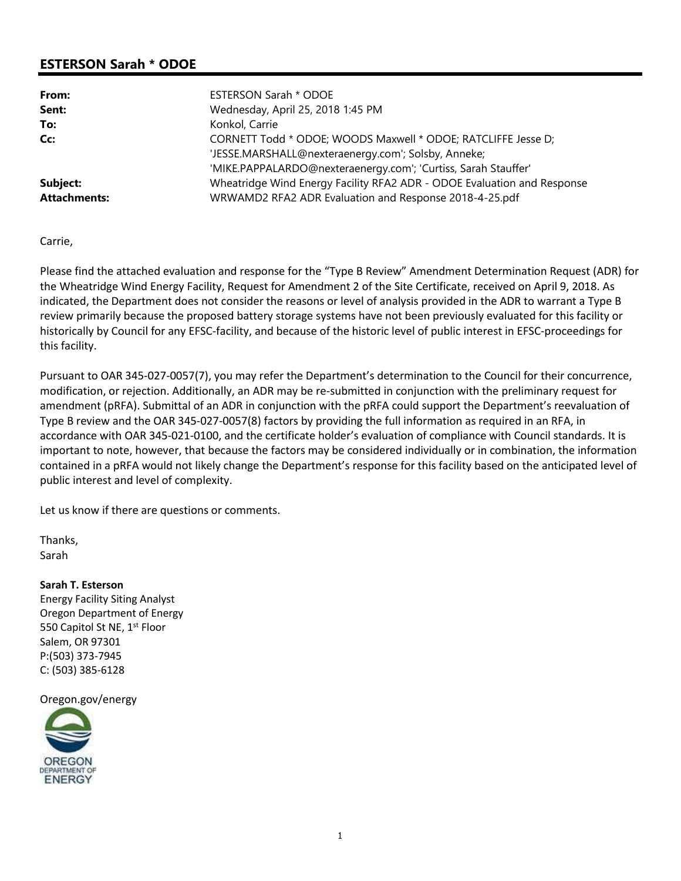# **ESTERSON Sarah \* ODOE**

| From:               | <b>ESTERSON Sarah * ODOE</b>                                            |
|---------------------|-------------------------------------------------------------------------|
| Sent:               | Wednesday, April 25, 2018 1:45 PM                                       |
| To:                 | Konkol, Carrie                                                          |
| Cc:                 | CORNETT Todd * ODOE; WOODS Maxwell * ODOE; RATCLIFFE Jesse D;           |
|                     | 'JESSE.MARSHALL@nexteraenergy.com'; Solsby, Anneke;                     |
|                     | 'MIKE.PAPPALARDO@nexteraenergy.com'; 'Curtiss, Sarah Stauffer'          |
| Subject:            | Wheatridge Wind Energy Facility RFA2 ADR - ODOE Evaluation and Response |
| <b>Attachments:</b> | WRWAMD2 RFA2 ADR Evaluation and Response 2018-4-25.pdf                  |

Carrie,

Please find the attached evaluation and response for the "Type B Review" Amendment Determination Request (ADR) for the Wheatridge Wind Energy Facility, Request for Amendment 2 of the Site Certificate, received on April 9, 2018. As indicated, the Department does not consider the reasons or level of analysis provided in the ADR to warrant a Type B review primarily because the proposed battery storage systems have not been previously evaluated for this facility or historically by Council for any EFSC-facility, and because of the historic level of public interest in EFSC-proceedings for this facility.

Pursuant to OAR 345-027-0057(7), you may refer the Department's determination to the Council for their concurrence, modification, or rejection. Additionally, an ADR may be re-submitted in conjunction with the preliminary request for amendment (pRFA). Submittal of an ADR in conjunction with the pRFA could support the Department's reevaluation of Type B review and the OAR 345-027-0057(8) factors by providing the full information as required in an RFA, in accordance with OAR 345-021-0100, and the certificate holder's evaluation of compliance with Council standards. It is important to note, however, that because the factors may be considered individually or in combination, the information contained in a pRFA would not likely change the Department's response for this facility based on the anticipated level of public interest and level of complexity.

Let us know if there are questions or comments.

Thanks, Sarah

**Sarah T. Esterson**

Energy Facility Siting Analyst Oregon Department of Energy 550 Capitol St NE, 1<sup>st</sup> Floor Salem, OR 97301 P:(503) 373-7945 C: (503) 385-6128

Oregon.gov/energy

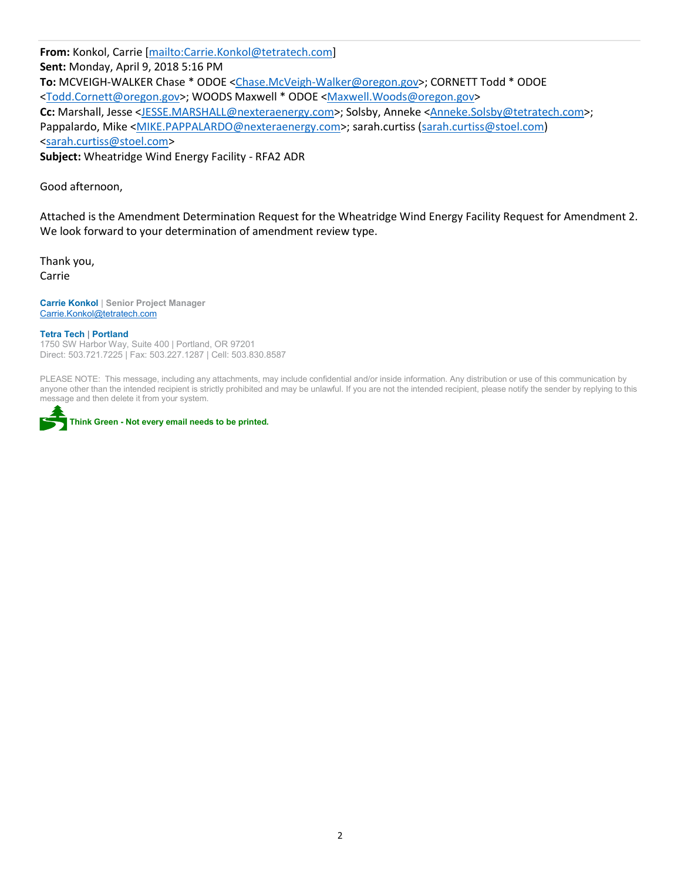**From:** Konkol, Carrie [mailto:Carrie.Konkol@tetratech.com] **Sent:** Monday, April 9, 2018 5:16 PM **To:** MCVEIGH-WALKER Chase \* ODOE <Chase.McVeigh-Walker@oregon.gov>; CORNETT Todd \* ODOE <Todd.Cornett@oregon.gov>; WOODS Maxwell \* ODOE <Maxwell.Woods@oregon.gov> **Cc:** Marshall, Jesse <JESSE.MARSHALL@nexteraenergy.com>; Solsby, Anneke <Anneke.Solsby@tetratech.com>; Pappalardo, Mike <MIKE.PAPPALARDO@nexteraenergy.com>; sarah.curtiss (sarah.curtiss@stoel.com) <sarah.curtiss@stoel.com> **Subject:** Wheatridge Wind Energy Facility - RFA2 ADR

Good afternoon,

Attached is the Amendment Determination Request for the Wheatridge Wind Energy Facility Request for Amendment 2. We look forward to your determination of amendment review type.

Thank you, Carrie

**Carrie Konkol** | **Senior Project Manager** Carrie.Konkol@tetratech.com

#### **Tetra Tech** | **Portland**

1750 SW Harbor Way, Suite 400 | Portland, OR 97201 Direct: 503.721.7225 | Fax: 503.227.1287 | Cell: 503.830.8587

PLEASE NOTE: This message, including any attachments, may include confidential and/or inside information. Any distribution or use of this communication by anyone other than the intended recipient is strictly prohibited and may be unlawful. If you are not the intended recipient, please notify the sender by replying to this message and then delete it from your system.



**Think Green - Not every email needs to be printed.**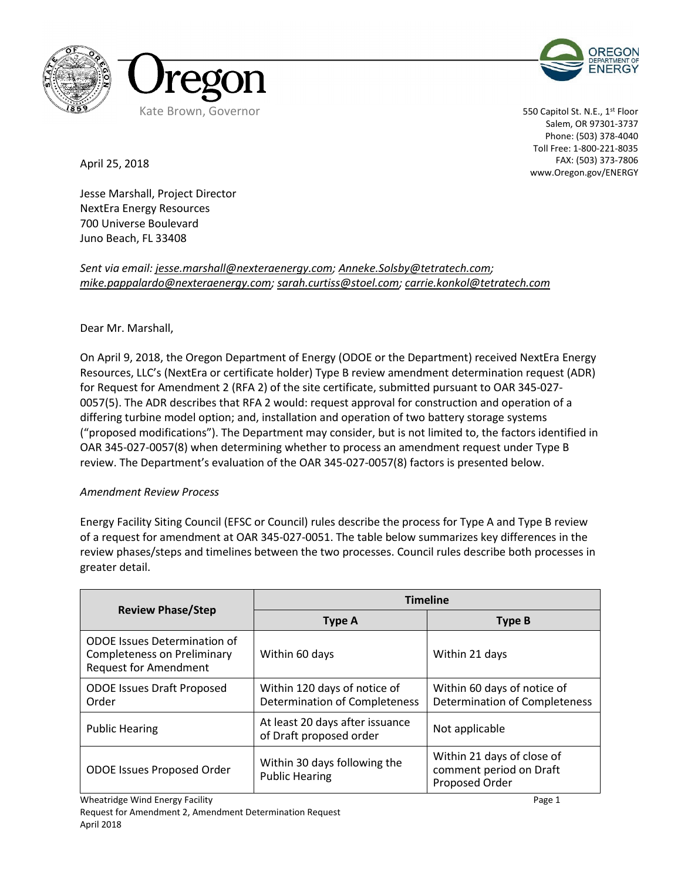



550 Capitol St. N.E., 1st Floor Salem, OR 97301-3737 Phone: (503) 378-4040 Toll Free: 1-800-221-8035 FAX: (503) 373-7806 www.Oregon.gov/ENERGY

April 25, 2018

Jesse Marshall, Project Director NextEra Energy Resources 700 Universe Boulevard Juno Beach, FL 33408

*Sent via email: jesse.marshall@nexteraenergy.com; Anneke.Solsby@tetratech.com; mike.pappalardo@nexteraenergy.com; sarah.curtiss@stoel.com; carrie.konkol@tetratech.com*

## Dear Mr. Marshall,

On April 9, 2018, the Oregon Department of Energy (ODOE or the Department) received NextEra Energy Resources, LLC's (NextEra or certificate holder) Type B review amendment determination request (ADR) for Request for Amendment 2 (RFA 2) of the site certificate, submitted pursuant to OAR 345-027- 0057(5). The ADR describes that RFA 2 would: request approval for construction and operation of a differing turbine model option; and, installation and operation of two battery storage systems ("proposed modifications"). The Department may consider, but is not limited to, the factors identified in OAR 345-027-0057(8) when determining whether to process an amendment request under Type B review. The Department's evaluation of the OAR 345-027-0057(8) factors is presented below.

#### *Amendment Review Process*

Energy Facility Siting Council (EFSC or Council) rules describe the process for Type A and Type B review of a request for amendment at OAR 345-027-0051. The table below summarizes key differences in the review phases/steps and timelines between the two processes. Council rules describe both processes in greater detail.

| <b>Review Phase/Step</b>                                                                                  | <b>Timeline</b>                                               |                                                                         |  |
|-----------------------------------------------------------------------------------------------------------|---------------------------------------------------------------|-------------------------------------------------------------------------|--|
|                                                                                                           | Type A                                                        | <b>Type B</b>                                                           |  |
| <b>ODOE</b> Issues Determination of<br><b>Completeness on Preliminary</b><br><b>Request for Amendment</b> | Within 60 days                                                | Within 21 days                                                          |  |
| <b>ODOE Issues Draft Proposed</b><br>Order                                                                | Within 120 days of notice of<br>Determination of Completeness | Within 60 days of notice of<br>Determination of Completeness            |  |
| <b>Public Hearing</b>                                                                                     | At least 20 days after issuance<br>of Draft proposed order    | Not applicable                                                          |  |
| <b>ODOE Issues Proposed Order</b>                                                                         | Within 30 days following the<br><b>Public Hearing</b>         | Within 21 days of close of<br>comment period on Draft<br>Proposed Order |  |

Wheatridge Wind Energy Facility **Page 1** and the state of the state of the state of the Page 1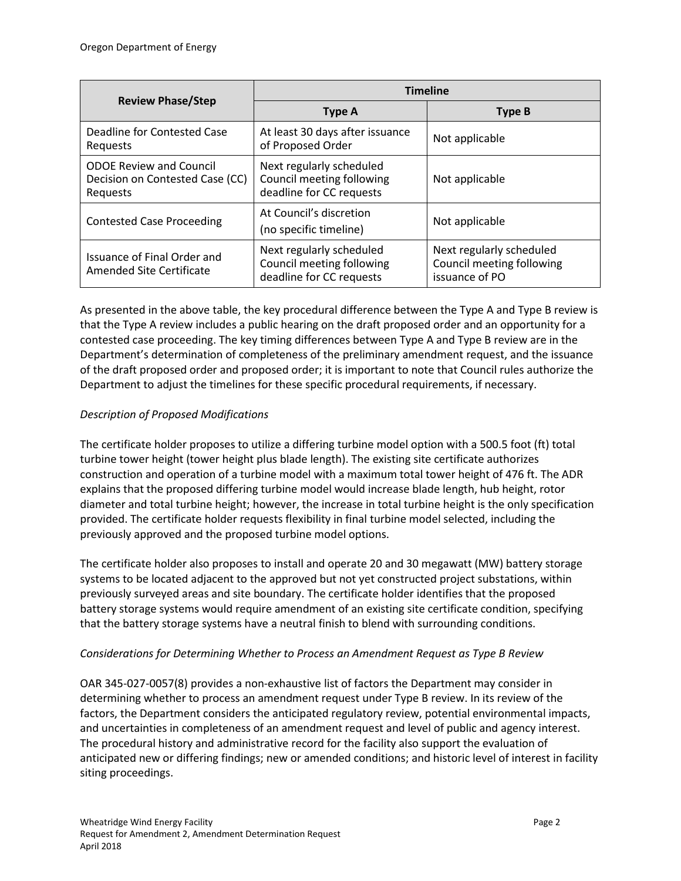| <b>Review Phase/Step</b>                                                      | <b>Timeline</b>                                                                   |                                                                         |  |
|-------------------------------------------------------------------------------|-----------------------------------------------------------------------------------|-------------------------------------------------------------------------|--|
|                                                                               | <b>Type A</b>                                                                     | <b>Type B</b>                                                           |  |
| Deadline for Contested Case<br>Requests                                       | At least 30 days after issuance<br>of Proposed Order                              | Not applicable                                                          |  |
| <b>ODOE Review and Council</b><br>Decision on Contested Case (CC)<br>Reguests | Next regularly scheduled<br>Council meeting following<br>deadline for CC requests | Not applicable                                                          |  |
| <b>Contested Case Proceeding</b>                                              | At Council's discretion<br>(no specific timeline)                                 | Not applicable                                                          |  |
| Issuance of Final Order and<br>Amended Site Certificate                       | Next regularly scheduled<br>Council meeting following<br>deadline for CC requests | Next regularly scheduled<br>Council meeting following<br>issuance of PO |  |

As presented in the above table, the key procedural difference between the Type A and Type B review is that the Type A review includes a public hearing on the draft proposed order and an opportunity for a contested case proceeding. The key timing differences between Type A and Type B review are in the Department's determination of completeness of the preliminary amendment request, and the issuance of the draft proposed order and proposed order; it is important to note that Council rules authorize the Department to adjust the timelines for these specific procedural requirements, if necessary.

## *Description of Proposed Modifications*

The certificate holder proposes to utilize a differing turbine model option with a 500.5 foot (ft) total turbine tower height (tower height plus blade length). The existing site certificate authorizes construction and operation of a turbine model with a maximum total tower height of 476 ft. The ADR explains that the proposed differing turbine model would increase blade length, hub height, rotor diameter and total turbine height; however, the increase in total turbine height is the only specification provided. The certificate holder requests flexibility in final turbine model selected, including the previously approved and the proposed turbine model options.

The certificate holder also proposes to install and operate 20 and 30 megawatt (MW) battery storage systems to be located adjacent to the approved but not yet constructed project substations, within previously surveyed areas and site boundary. The certificate holder identifies that the proposed battery storage systems would require amendment of an existing site certificate condition, specifying that the battery storage systems have a neutral finish to blend with surrounding conditions.

## *Considerations for Determining Whether to Process an Amendment Request as Type B Review*

OAR 345-027-0057(8) provides a non-exhaustive list of factors the Department may consider in determining whether to process an amendment request under Type B review. In its review of the factors, the Department considers the anticipated regulatory review, potential environmental impacts, and uncertainties in completeness of an amendment request and level of public and agency interest. The procedural history and administrative record for the facility also support the evaluation of anticipated new or differing findings; new or amended conditions; and historic level of interest in facility siting proceedings.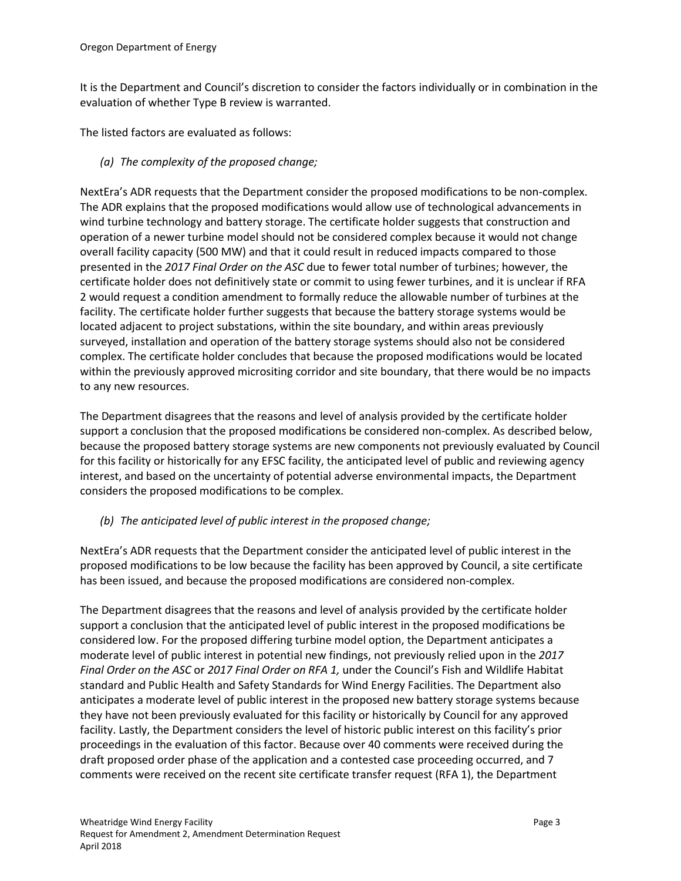It is the Department and Council's discretion to consider the factors individually or in combination in the evaluation of whether Type B review is warranted.

The listed factors are evaluated as follows:

*(a) The complexity of the proposed change;*

NextEra's ADR requests that the Department consider the proposed modifications to be non-complex. The ADR explains that the proposed modifications would allow use of technological advancements in wind turbine technology and battery storage. The certificate holder suggests that construction and operation of a newer turbine model should not be considered complex because it would not change overall facility capacity (500 MW) and that it could result in reduced impacts compared to those presented in the *2017 Final Order on the ASC* due to fewer total number of turbines; however, the certificate holder does not definitively state or commit to using fewer turbines, and it is unclear if RFA 2 would request a condition amendment to formally reduce the allowable number of turbines at the facility. The certificate holder further suggests that because the battery storage systems would be located adjacent to project substations, within the site boundary, and within areas previously surveyed, installation and operation of the battery storage systems should also not be considered complex. The certificate holder concludes that because the proposed modifications would be located within the previously approved micrositing corridor and site boundary, that there would be no impacts to any new resources.

The Department disagrees that the reasons and level of analysis provided by the certificate holder support a conclusion that the proposed modifications be considered non-complex. As described below, because the proposed battery storage systems are new components not previously evaluated by Council for this facility or historically for any EFSC facility, the anticipated level of public and reviewing agency interest, and based on the uncertainty of potential adverse environmental impacts, the Department considers the proposed modifications to be complex.

## *(b) The anticipated level of public interest in the proposed change;*

NextEra's ADR requests that the Department consider the anticipated level of public interest in the proposed modifications to be low because the facility has been approved by Council, a site certificate has been issued, and because the proposed modifications are considered non-complex.

The Department disagrees that the reasons and level of analysis provided by the certificate holder support a conclusion that the anticipated level of public interest in the proposed modifications be considered low. For the proposed differing turbine model option, the Department anticipates a moderate level of public interest in potential new findings, not previously relied upon in the *2017 Final Order on the ASC* or *2017 Final Order on RFA 1,* under the Council's Fish and Wildlife Habitat standard and Public Health and Safety Standards for Wind Energy Facilities. The Department also anticipates a moderate level of public interest in the proposed new battery storage systems because they have not been previously evaluated for this facility or historically by Council for any approved facility. Lastly, the Department considers the level of historic public interest on this facility's prior proceedings in the evaluation of this factor. Because over 40 comments were received during the draft proposed order phase of the application and a contested case proceeding occurred, and 7 comments were received on the recent site certificate transfer request (RFA 1), the Department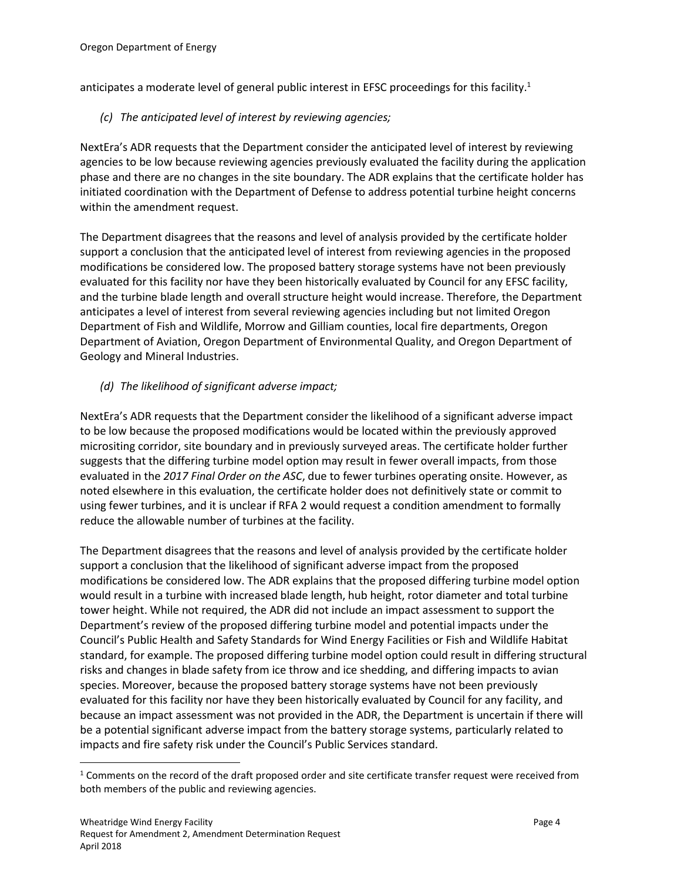anticipates a moderate level of general public interest in EFSC proceedings for this facility.<sup>1</sup>

*(c) The anticipated level of interest by reviewing agencies;*

NextEra's ADR requests that the Department consider the anticipated level of interest by reviewing agencies to be low because reviewing agencies previously evaluated the facility during the application phase and there are no changes in the site boundary. The ADR explains that the certificate holder has initiated coordination with the Department of Defense to address potential turbine height concerns within the amendment request.

The Department disagrees that the reasons and level of analysis provided by the certificate holder support a conclusion that the anticipated level of interest from reviewing agencies in the proposed modifications be considered low. The proposed battery storage systems have not been previously evaluated for this facility nor have they been historically evaluated by Council for any EFSC facility, and the turbine blade length and overall structure height would increase. Therefore, the Department anticipates a level of interest from several reviewing agencies including but not limited Oregon Department of Fish and Wildlife, Morrow and Gilliam counties, local fire departments, Oregon Department of Aviation, Oregon Department of Environmental Quality, and Oregon Department of Geology and Mineral Industries.

## *(d) The likelihood of significant adverse impact;*

NextEra's ADR requests that the Department consider the likelihood of a significant adverse impact to be low because the proposed modifications would be located within the previously approved micrositing corridor, site boundary and in previously surveyed areas. The certificate holder further suggests that the differing turbine model option may result in fewer overall impacts, from those evaluated in the *2017 Final Order on the ASC*, due to fewer turbines operating onsite. However, as noted elsewhere in this evaluation, the certificate holder does not definitively state or commit to using fewer turbines, and it is unclear if RFA 2 would request a condition amendment to formally reduce the allowable number of turbines at the facility.

The Department disagrees that the reasons and level of analysis provided by the certificate holder support a conclusion that the likelihood of significant adverse impact from the proposed modifications be considered low. The ADR explains that the proposed differing turbine model option would result in a turbine with increased blade length, hub height, rotor diameter and total turbine tower height. While not required, the ADR did not include an impact assessment to support the Department's review of the proposed differing turbine model and potential impacts under the Council's Public Health and Safety Standards for Wind Energy Facilities or Fish and Wildlife Habitat standard, for example. The proposed differing turbine model option could result in differing structural risks and changes in blade safety from ice throw and ice shedding, and differing impacts to avian species. Moreover, because the proposed battery storage systems have not been previously evaluated for this facility nor have they been historically evaluated by Council for any facility, and because an impact assessment was not provided in the ADR, the Department is uncertain if there will be a potential significant adverse impact from the battery storage systems, particularly related to impacts and fire safety risk under the Council's Public Services standard.

<sup>&</sup>lt;sup>1</sup> Comments on the record of the draft proposed order and site certificate transfer request were received from both members of the public and reviewing agencies.